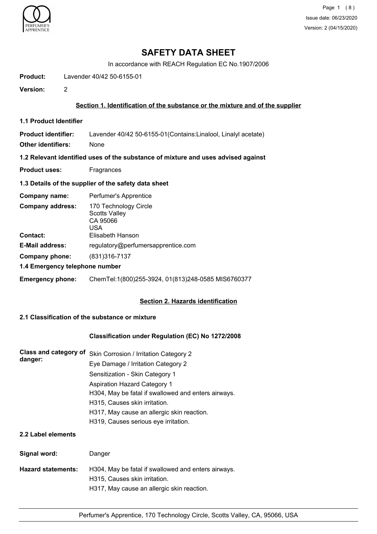

## **SAFETY DATA SHEET**

In accordance with REACH Regulation EC No.1907/2006

**Product:** Lavender 40/42 50-6155-01

**Version:** 2

## **Section 1. Identification of the substance or the mixture and of the supplier**

**1.1 Product Identifier**

**Product identifier:** Lavender 40/42 50-6155-01(Contains:Linalool, Linalyl acetate)

**Other identifiers:** None

**1.2 Relevant identified uses of the substance of mixture and uses advised against**

**Product uses:** Fragrances

## **1.3 Details of the supplier of the safety data sheet**

| Company name:                              | Perfumer's Apprentice                                                                |
|--------------------------------------------|--------------------------------------------------------------------------------------|
| <b>Company address:</b><br><b>Contact:</b> | 170 Technology Circle<br><b>Scotts Valley</b><br>CA 95066<br>USA<br>Elisabeth Hanson |
| <b>E-Mail address:</b>                     | regulatory@perfumersapprentice.com                                                   |
| Company phone:                             | (831) 316-7137                                                                       |
| 1.4 Emergency telephone number             |                                                                                      |
| <b>Emergency phone:</b>                    | ChemTel:1(800)255-3924, 01(813)248-0585 MIS6760377                                   |

## **Section 2. Hazards identification**

## **2.1 Classification of the substance or mixture**

## **Classification under Regulation (EC) No 1272/2008**

| Class and category of | Skin Corrosion / Irritation Category 2              |
|-----------------------|-----------------------------------------------------|
| danger:               | Eye Damage / Irritation Category 2                  |
|                       | Sensitization - Skin Category 1                     |
|                       | <b>Aspiration Hazard Category 1</b>                 |
|                       | H304, May be fatal if swallowed and enters airways. |
|                       | H315, Causes skin irritation.                       |
|                       | H317, May cause an allergic skin reaction.          |
|                       | H319, Causes serious eye irritation.                |
| 2.2 Label elements    |                                                     |

# **Signal word:** Danger **Hazard statements:** H304, May be fatal if swallowed and enters airways. H315, Causes skin irritation. H317, May cause an allergic skin reaction.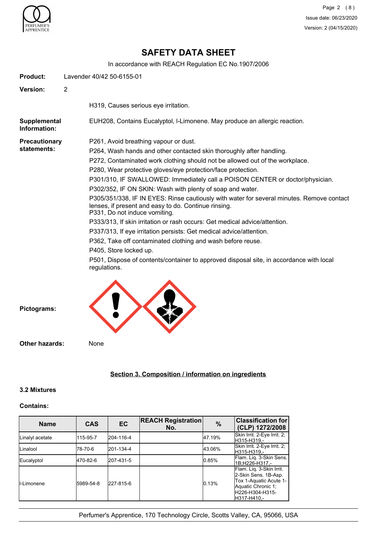

## **SAFETY DATA SHEET**

In accordance with REACH Regulation EC No.1907/2006

| Product:                            | Lavender 40/42 50-6155-01                                                                                                                                                                                                                                                                                                                                                                                                                                                                                                                                                                                                                                                                                                                                                                                                                                                                                                                                  |  |  |
|-------------------------------------|------------------------------------------------------------------------------------------------------------------------------------------------------------------------------------------------------------------------------------------------------------------------------------------------------------------------------------------------------------------------------------------------------------------------------------------------------------------------------------------------------------------------------------------------------------------------------------------------------------------------------------------------------------------------------------------------------------------------------------------------------------------------------------------------------------------------------------------------------------------------------------------------------------------------------------------------------------|--|--|
| <b>Version:</b>                     | $\overline{2}$                                                                                                                                                                                                                                                                                                                                                                                                                                                                                                                                                                                                                                                                                                                                                                                                                                                                                                                                             |  |  |
|                                     | H319, Causes serious eye irritation.                                                                                                                                                                                                                                                                                                                                                                                                                                                                                                                                                                                                                                                                                                                                                                                                                                                                                                                       |  |  |
| <b>Supplemental</b><br>Information: | EUH208, Contains Eucalyptol, I-Limonene. May produce an allergic reaction.                                                                                                                                                                                                                                                                                                                                                                                                                                                                                                                                                                                                                                                                                                                                                                                                                                                                                 |  |  |
| <b>Precautionary</b><br>statements: | P261, Avoid breathing vapour or dust.<br>P264, Wash hands and other contacted skin thoroughly after handling.<br>P272, Contaminated work clothing should not be allowed out of the workplace.<br>P280, Wear protective gloves/eye protection/face protection.<br>P301/310, IF SWALLOWED: Immediately call a POISON CENTER or doctor/physician.<br>P302/352, IF ON SKIN: Wash with plenty of soap and water.<br>P305/351/338, IF IN EYES: Rinse cautiously with water for several minutes. Remove contact<br>lenses, if present and easy to do. Continue rinsing.<br>P331, Do not induce vomiting.<br>P333/313, If skin irritation or rash occurs: Get medical advice/attention.<br>P337/313, If eye irritation persists: Get medical advice/attention.<br>P362, Take off contaminated clothing and wash before reuse.<br>P405, Store locked up.<br>P501, Dispose of contents/container to approved disposal site, in accordance with local<br>regulations. |  |  |
| Pictograms:                         |                                                                                                                                                                                                                                                                                                                                                                                                                                                                                                                                                                                                                                                                                                                                                                                                                                                                                                                                                            |  |  |
| Other hazards:                      | None                                                                                                                                                                                                                                                                                                                                                                                                                                                                                                                                                                                                                                                                                                                                                                                                                                                                                                                                                       |  |  |

## **Section 3. Composition / information on ingredients**

#### **3.2 Mixtures**

## **Contains:**

| <b>Name</b>     | <b>CAS</b> | <b>EC</b> | <b>REACH Registration</b><br>No. | $\frac{9}{6}$ | <b>Classification for</b><br>(CLP) 1272/2008                                                                                         |
|-----------------|------------|-----------|----------------------------------|---------------|--------------------------------------------------------------------------------------------------------------------------------------|
| Linalyl acetate | 115-95-7   | 204-116-4 |                                  | 47.19%        | Skin Irrit. 2-Eye Irrit. 2;<br>H315-H319.-                                                                                           |
| <b>Linalool</b> | 78-70-6    | 201-134-4 |                                  | 43.06%        | Skin Irrit. 2-Eye Irrit. 2;<br>H315-H319.-                                                                                           |
| Eucalyptol      | 470-82-6   | 207-431-5 |                                  | 0.85%         | Flam. Liq. 3-Skin Sens.<br>1B;H226-H317.-                                                                                            |
| II-Limonene     | 5989-54-8  | 227-815-6 |                                  | 0.13%         | Flam. Lig. 3-Skin Irrit.<br>2-Skin Sens. 1B-Asp.<br>Tox 1-Aquatic Acute 1-<br>Aquatic Chronic 1:<br>lH226-H304-H315-<br>lH317-H410.- |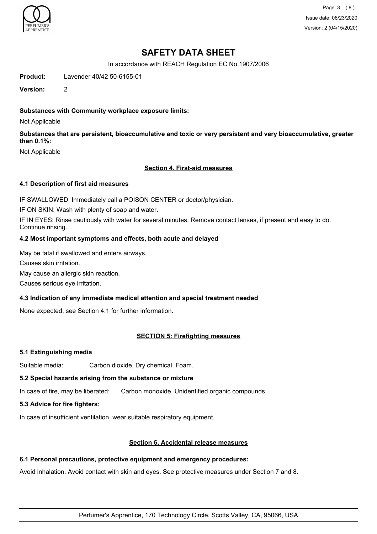

Page 3 (8) Issue date: 06/23/2020 Version: 2 (04/15/2020)

## **SAFETY DATA SHEET**

In accordance with REACH Regulation EC No.1907/2006

**Product:** Lavender 40/42 50-6155-01

**Version:** 2

## **Substances with Community workplace exposure limits:**

Not Applicable

**Substances that are persistent, bioaccumulative and toxic or very persistent and very bioaccumulative, greater than 0.1%:**

Not Applicable

#### **Section 4. First-aid measures**

#### **4.1 Description of first aid measures**

IF SWALLOWED: Immediately call a POISON CENTER or doctor/physician.

IF ON SKIN: Wash with plenty of soap and water.

IF IN EYES: Rinse cautiously with water for several minutes. Remove contact lenses, if present and easy to do. Continue rinsing.

#### **4.2 Most important symptoms and effects, both acute and delayed**

May be fatal if swallowed and enters airways.

Causes skin irritation.

May cause an allergic skin reaction.

Causes serious eye irritation.

## **4.3 Indication of any immediate medical attention and special treatment needed**

None expected, see Section 4.1 for further information.

## **SECTION 5: Firefighting measures**

#### **5.1 Extinguishing media**

Suitable media: Carbon dioxide, Dry chemical, Foam.

## **5.2 Special hazards arising from the substance or mixture**

In case of fire, may be liberated: Carbon monoxide, Unidentified organic compounds.

**5.3 Advice for fire fighters:**

In case of insufficient ventilation, wear suitable respiratory equipment.

## **Section 6. Accidental release measures**

## **6.1 Personal precautions, protective equipment and emergency procedures:**

Avoid inhalation. Avoid contact with skin and eyes. See protective measures under Section 7 and 8.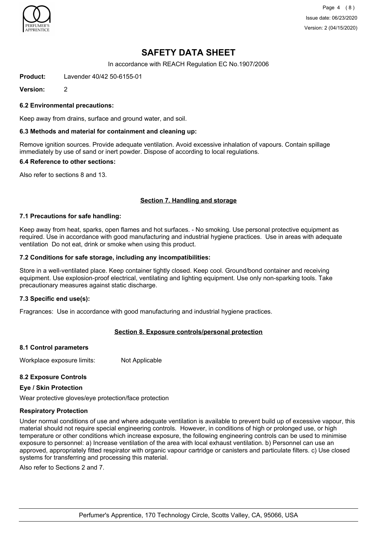

Page 4 (8) Issue date: 06/23/2020 Version: 2 (04/15/2020)

## **SAFETY DATA SHEET**

In accordance with REACH Regulation EC No.1907/2006

**Product:** Lavender 40/42 50-6155-01

**Version:** 2

#### **6.2 Environmental precautions:**

Keep away from drains, surface and ground water, and soil.

#### **6.3 Methods and material for containment and cleaning up:**

Remove ignition sources. Provide adequate ventilation. Avoid excessive inhalation of vapours. Contain spillage immediately by use of sand or inert powder. Dispose of according to local regulations.

#### **6.4 Reference to other sections:**

Also refer to sections 8 and 13.

#### **Section 7. Handling and storage**

#### **7.1 Precautions for safe handling:**

Keep away from heat, sparks, open flames and hot surfaces. - No smoking. Use personal protective equipment as required. Use in accordance with good manufacturing and industrial hygiene practices. Use in areas with adequate ventilation Do not eat, drink or smoke when using this product.

#### **7.2 Conditions for safe storage, including any incompatibilities:**

Store in a well-ventilated place. Keep container tightly closed. Keep cool. Ground/bond container and receiving equipment. Use explosion-proof electrical, ventilating and lighting equipment. Use only non-sparking tools. Take precautionary measures against static discharge.

#### **7.3 Specific end use(s):**

Fragrances: Use in accordance with good manufacturing and industrial hygiene practices.

## **Section 8. Exposure controls/personal protection**

#### **8.1 Control parameters**

Workplace exposure limits: Not Applicable

## **8.2 Exposure Controls**

#### **Eye / Skin Protection**

Wear protective gloves/eye protection/face protection

#### **Respiratory Protection**

Under normal conditions of use and where adequate ventilation is available to prevent build up of excessive vapour, this material should not require special engineering controls. However, in conditions of high or prolonged use, or high temperature or other conditions which increase exposure, the following engineering controls can be used to minimise exposure to personnel: a) Increase ventilation of the area with local exhaust ventilation. b) Personnel can use an approved, appropriately fitted respirator with organic vapour cartridge or canisters and particulate filters. c) Use closed systems for transferring and processing this material.

Also refer to Sections 2 and 7.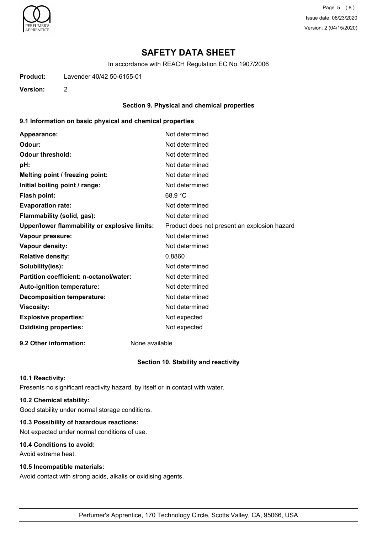

Page 5 (8) Issue date: 06/23/2020 Version: 2 (04/15/2020)

## **SAFETY DATA SHEET**

In accordance with REACH Regulation EC No.1907/2006

**Product:** Lavender 40/42 50-6155-01

**Version:** 2

#### **Section 9. Physical and chemical properties**

#### **9.1 Information on basic physical and chemical properties**

| Appearance:                                   | Not determined                               |
|-----------------------------------------------|----------------------------------------------|
| Odour:                                        | Not determined                               |
| <b>Odour threshold:</b>                       | Not determined                               |
| pH:                                           | Not determined                               |
| Melting point / freezing point:               | Not determined                               |
| Initial boiling point / range:                | Not determined                               |
| <b>Flash point:</b>                           | 68.9 °C                                      |
| <b>Evaporation rate:</b>                      | Not determined                               |
| Flammability (solid, gas):                    | Not determined                               |
| Upper/lower flammability or explosive limits: | Product does not present an explosion hazard |
| Vapour pressure:                              | Not determined                               |
| Vapour density:                               | Not determined                               |
| <b>Relative density:</b>                      | 0.8860                                       |
| Solubility(ies):                              | Not determined                               |
| Partition coefficient: n-octanol/water:       | Not determined                               |
| Auto-ignition temperature:                    | Not determined                               |
| <b>Decomposition temperature:</b>             | Not determined                               |
| <b>Viscosity:</b>                             | Not determined                               |
| <b>Explosive properties:</b>                  | Not expected                                 |
| <b>Oxidising properties:</b>                  | Not expected                                 |
|                                               |                                              |

**9.2 Other information:** None available

#### **Section 10. Stability and reactivity**

#### **10.1 Reactivity:**

Presents no significant reactivity hazard, by itself or in contact with water.

## **10.2 Chemical stability:**

Good stability under normal storage conditions.

## **10.3 Possibility of hazardous reactions:**

Not expected under normal conditions of use.

## **10.4 Conditions to avoid:**

Avoid extreme heat.

#### **10.5 Incompatible materials:**

Avoid contact with strong acids, alkalis or oxidising agents.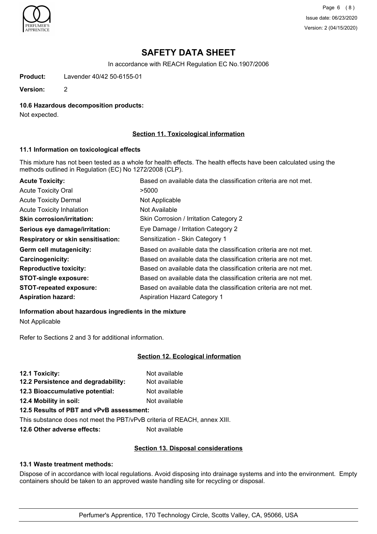

Page 6 (8) Issue date: 06/23/2020 Version: 2 (04/15/2020)

## **SAFETY DATA SHEET**

In accordance with REACH Regulation EC No.1907/2006

**Product:** Lavender 40/42 50-6155-01

**Version:** 2

#### **10.6 Hazardous decomposition products:**

Not expected.

## **Section 11. Toxicological information**

#### **11.1 Information on toxicological effects**

This mixture has not been tested as a whole for health effects. The health effects have been calculated using the methods outlined in Regulation (EC) No 1272/2008 (CLP).

| <b>Acute Toxicity:</b>                    | Based on available data the classification criteria are not met. |
|-------------------------------------------|------------------------------------------------------------------|
| <b>Acute Toxicity Oral</b>                | >5000                                                            |
| <b>Acute Toxicity Dermal</b>              | Not Applicable                                                   |
| <b>Acute Toxicity Inhalation</b>          | Not Available                                                    |
| <b>Skin corrosion/irritation:</b>         | Skin Corrosion / Irritation Category 2                           |
| Serious eye damage/irritation:            | Eye Damage / Irritation Category 2                               |
| <b>Respiratory or skin sensitisation:</b> | Sensitization - Skin Category 1                                  |
| Germ cell mutagenicity:                   | Based on available data the classification criteria are not met. |
| <b>Carcinogenicity:</b>                   | Based on available data the classification criteria are not met. |
| <b>Reproductive toxicity:</b>             | Based on available data the classification criteria are not met. |
| <b>STOT-single exposure:</b>              | Based on available data the classification criteria are not met. |
| <b>STOT-repeated exposure:</b>            | Based on available data the classification criteria are not met. |
| <b>Aspiration hazard:</b>                 | <b>Aspiration Hazard Category 1</b>                              |

## **Information about hazardous ingredients in the mixture**

Not Applicable

Refer to Sections 2 and 3 for additional information.

#### **Section 12. Ecological information**

| 12.1 Toxicity:                           | Not available |
|------------------------------------------|---------------|
| 12.2 Persistence and degradability:      | Not available |
| 12.3 Bioaccumulative potential:          | Not available |
| 12.4 Mobility in soil:                   | Not available |
| 12.5 Results of PBT and vPvB assessment: |               |

This substance does not meet the PBT/vPvB criteria of REACH, annex XIII.

**12.6 Other adverse effects:** Not available

## **Section 13. Disposal considerations**

#### **13.1 Waste treatment methods:**

Dispose of in accordance with local regulations. Avoid disposing into drainage systems and into the environment. Empty containers should be taken to an approved waste handling site for recycling or disposal.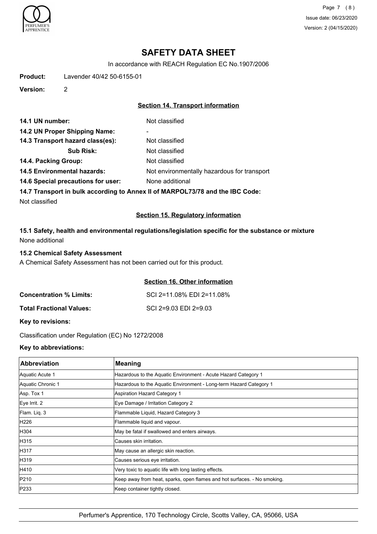

Page 7 (8) Issue date: 06/23/2020 Version: 2 (04/15/2020)

## **SAFETY DATA SHEET**

In accordance with REACH Regulation EC No.1907/2006

**Product:** Lavender 40/42 50-6155-01

**Version:** 2

## **Section 14. Transport information**

| 14.1 UN number:                    | Not classified                              |
|------------------------------------|---------------------------------------------|
| 14.2 UN Proper Shipping Name:      | ۰                                           |
| 14.3 Transport hazard class(es):   | Not classified                              |
| <b>Sub Risk:</b>                   | Not classified                              |
| 14.4. Packing Group:               | Not classified                              |
| <b>14.5 Environmental hazards:</b> | Not environmentally hazardous for transport |
| 14.6 Special precautions for user: | None additional                             |
|                                    |                                             |

**14.7 Transport in bulk according to Annex II of MARPOL73/78 and the IBC Code:**

Not classified

## **Section 15. Regulatory information**

**15.1 Safety, health and environmental regulations/legislation specific for the substance or mixture** None additional

#### **15.2 Chemical Safety Assessment**

A Chemical Safety Assessment has not been carried out for this product.

## **Section 16. Other information**

| <b>Concentration % Limits:</b>  | SCI 2=11.08% EDI 2=11.08% |
|---------------------------------|---------------------------|
| <b>Total Fractional Values:</b> | SCI 2=9.03 EDI 2=9.03     |

**Key to revisions:**

Classification under Regulation (EC) No 1272/2008

## **Key to abbreviations:**

| <b>Abbreviation</b> | <b>Meaning</b>                                                           |
|---------------------|--------------------------------------------------------------------------|
| Aquatic Acute 1     | Hazardous to the Aquatic Environment - Acute Hazard Category 1           |
| Aquatic Chronic 1   | Hazardous to the Aquatic Environment - Long-term Hazard Category 1       |
| Asp. Tox 1          | Aspiration Hazard Category 1                                             |
| Eye Irrit. 2        | Eye Damage / Irritation Category 2                                       |
| Flam. Liq. 3        | Flammable Liquid, Hazard Category 3                                      |
| H226                | Flammable liquid and vapour.                                             |
| H304                | May be fatal if swallowed and enters airways.                            |
| H315                | lCauses skin irritation.                                                 |
| H317                | May cause an allergic skin reaction.                                     |
| H319                | Causes serious eye irritation.                                           |
| H410                | Very toxic to aquatic life with long lasting effects.                    |
| P210                | Keep away from heat, sparks, open flames and hot surfaces. - No smoking. |
| P233                | Keep container tightly closed.                                           |